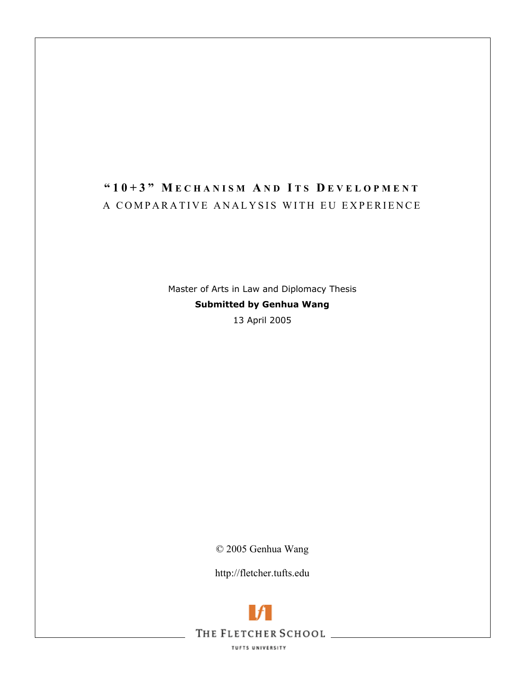# **"10+3" M ECHANISM A ND I TS D EVELOPMENT** A COMPARATIVE ANALYSIS WITH EU EXPERIENCE

Master of Arts in Law and Diplomacy Thesis **Submitted by Genhua Wang**  13 April 2005

© 2005 Genhua Wang

http://fletcher.tufts.edu

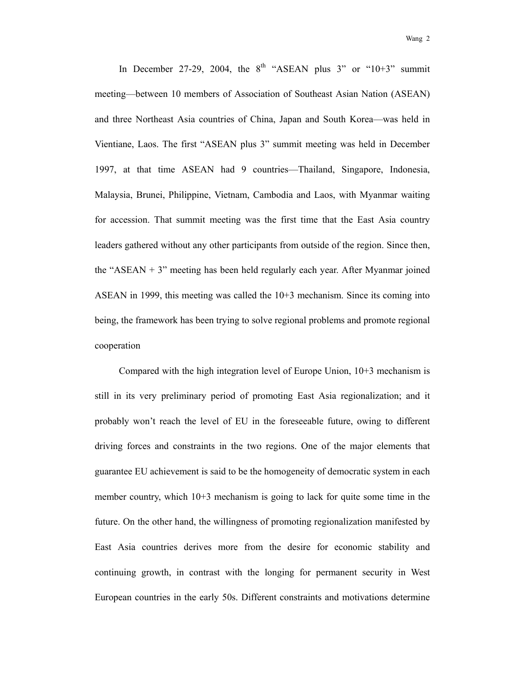In December 27-29, 2004, the  $8<sup>th</sup>$  "ASEAN plus 3" or "10+3" summit meeting—between 10 members of Association of Southeast Asian Nation (ASEAN) and three Northeast Asia countries of China, Japan and South Korea—was held in Vientiane, Laos. The first "ASEAN plus 3" summit meeting was held in December 1997, at that time ASEAN had 9 countries—Thailand, Singapore, Indonesia, Malaysia, Brunei, Philippine, Vietnam, Cambodia and Laos, with Myanmar waiting for accession. That summit meeting was the first time that the East Asia country leaders gathered without any other participants from outside of the region. Since then, the "ASEAN  $+$  3" meeting has been held regularly each year. After Myanmar joined ASEAN in 1999, this meeting was called the 10+3 mechanism. Since its coming into being, the framework has been trying to solve regional problems and promote regional cooperation

Compared with the high integration level of Europe Union, 10+3 mechanism is still in its very preliminary period of promoting East Asia regionalization; and it probably won't reach the level of EU in the foreseeable future, owing to different driving forces and constraints in the two regions. One of the major elements that guarantee EU achievement is said to be the homogeneity of democratic system in each member country, which 10+3 mechanism is going to lack for quite some time in the future. On the other hand, the willingness of promoting regionalization manifested by East Asia countries derives more from the desire for economic stability and continuing growth, in contrast with the longing for permanent security in West European countries in the early 50s. Different constraints and motivations determine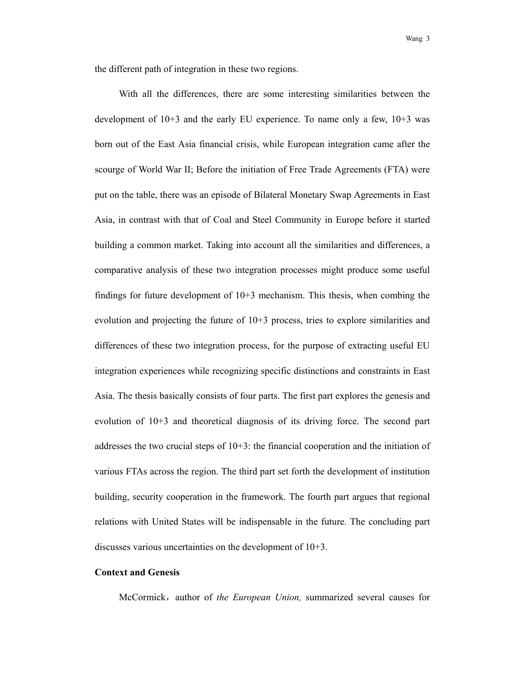the different path of integration in these two regions.

With all the differences, there are some interesting similarities between the development of 10+3 and the early EU experience. To name only a few, 10+3 was born out of the East Asia financial crisis, while European integration came after the scourge of World War II; Before the initiation of Free Trade Agreements (FTA) were put on the table, there was an episode of Bilateral Monetary Swap Agreements in East Asia, in contrast with that of Coal and Steel Community in Europe before it started building a common market. Taking into account all the similarities and differences, a comparative analysis of these two integration processes might produce some useful findings for future development of  $10+3$  mechanism. This thesis, when combing the evolution and projecting the future of 10+3 process, tries to explore similarities and differences of these two integration process, for the purpose of extracting useful EU integration experiences while recognizing specific distinctions and constraints in East Asia. The thesis basically consists of four parts. The first part explores the genesis and evolution of 10+3 and theoretical diagnosis of its driving force. The second part addresses the two crucial steps of  $10+3$ : the financial cooperation and the initiation of various FTAs across the region. The third part set forth the development of institution building, security cooperation in the framework. The fourth part argues that regional relations with United States will be indispensable in the future. The concluding part discusses various uncertainties on the development of 10+3.

## **Context and Genesis**

McCormick, author of *the European Union*, summarized several causes for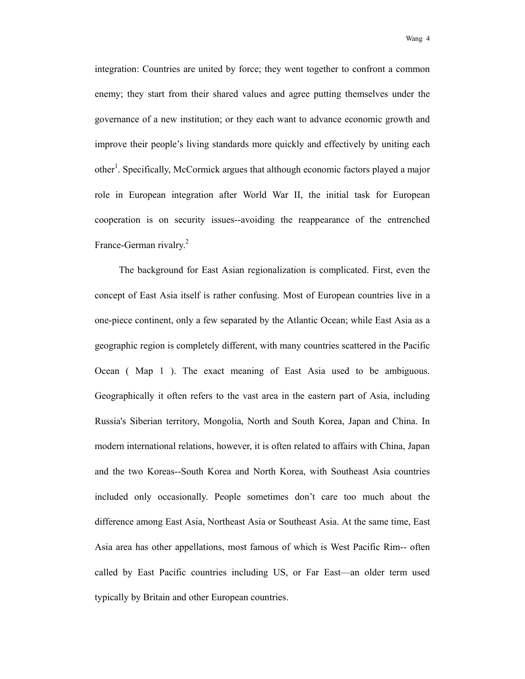wang 4

integration: Countries are united by force; they went together to confront a common enemy; they start from their shared values and agree putting themselves under the governance of a new institution; or they each want to advance economic growth and improve their people's living standards more quickly and effectively by uniting each other<sup>1</sup>. Specifically, McCormick argues that although economic factors played a major role in European integration after World War II, the initial task for European cooperation is on security issues--avoiding the reappearance of the entrenched France-German rivalry.<sup>2</sup>

The background for East Asian regionalization is complicated. First, even the concept of East Asia itself is rather confusing. Most of European countries live in a one-piece continent, only a few separated by the Atlantic Ocean; while East Asia as a geographic region is completely different, with many countries scattered in the Pacific Ocean ( Map 1 ). The exact meaning of East Asia used to be ambiguous. Geographically it often refers to the vast area in the eastern part of Asia, including Russia's Siberian territory, Mongolia, North and South Korea, Japan and China. In modern international relations, however, it is often related to affairs with China, Japan and the two Koreas--South Korea and North Korea, with Southeast Asia countries included only occasionally. People sometimes don't care too much about the difference among East Asia, Northeast Asia or Southeast Asia. At the same time, East Asia area has other appellations, most famous of which is West Pacific Rim-- often called by East Pacific countries including US, or Far East—an older term used typically by Britain and other European countries.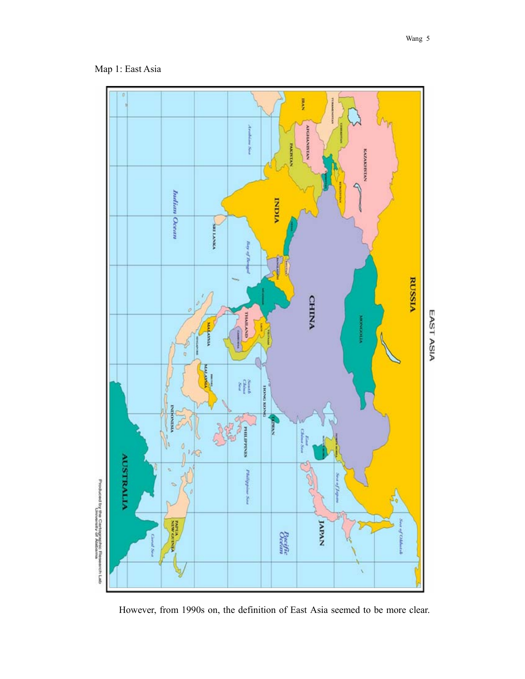

However, from 1990s on, the definition of East Asia seemed to be more clear.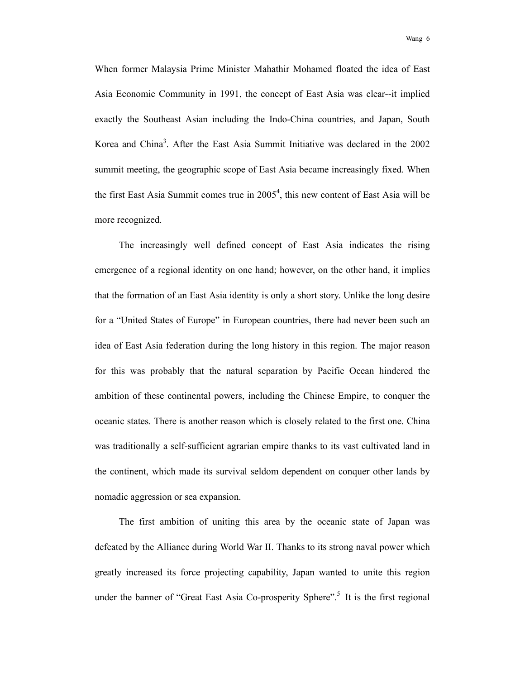wang 6 metatra ng mga 1999 na mga 1999 na mga 1999 na mga 1999 na mga 1999 na mga 1999 na mga 1999 na mga 199

When former Malaysia Prime Minister Mahathir Mohamed floated the idea of East Asia Economic Community in 1991, the concept of East Asia was clear--it implied exactly the Southeast Asian including the Indo-China countries, and Japan, South Korea and China<sup>3</sup>. After the East Asia Summit Initiative was declared in the 2002 summit meeting, the geographic scope of East Asia became increasingly fixed. When the first East Asia Summit comes true in 2005<sup>4</sup>, this new content of East Asia will be more recognized.

The increasingly well defined concept of East Asia indicates the rising emergence of a regional identity on one hand; however, on the other hand, it implies that the formation of an East Asia identity is only a short story. Unlike the long desire for a "United States of Europe" in European countries, there had never been such an idea of East Asia federation during the long history in this region. The major reason for this was probably that the natural separation by Pacific Ocean hindered the ambition of these continental powers, including the Chinese Empire, to conquer the oceanic states. There is another reason which is closely related to the first one. China was traditionally a self-sufficient agrarian empire thanks to its vast cultivated land in the continent, which made its survival seldom dependent on conquer other lands by nomadic aggression or sea expansion.

The first ambition of uniting this area by the oceanic state of Japan was defeated by the Alliance during World War II. Thanks to its strong naval power which greatly increased its force projecting capability, Japan wanted to unite this region under the banner of "Great East Asia Co-prosperity Sphere".<sup>5</sup> It is the first regional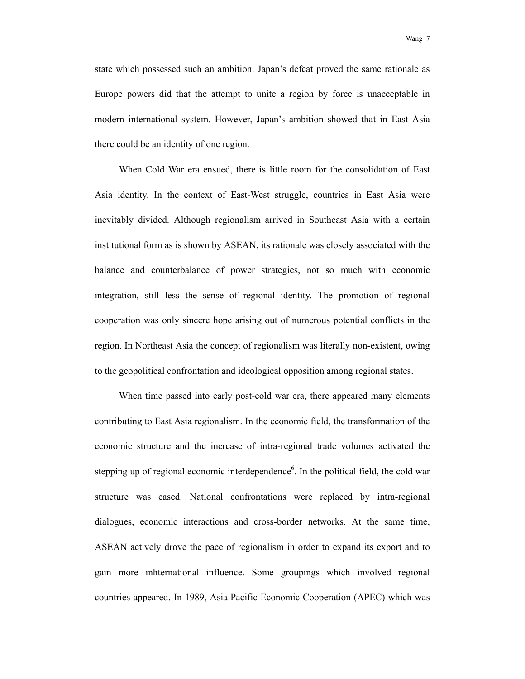wang 7

state which possessed such an ambition. Japan's defeat proved the same rationale as Europe powers did that the attempt to unite a region by force is unacceptable in modern international system. However, Japan's ambition showed that in East Asia there could be an identity of one region.

When Cold War era ensued, there is little room for the consolidation of East Asia identity. In the context of East-West struggle, countries in East Asia were inevitably divided. Although regionalism arrived in Southeast Asia with a certain institutional form as is shown by ASEAN, its rationale was closely associated with the balance and counterbalance of power strategies, not so much with economic integration, still less the sense of regional identity. The promotion of regional cooperation was only sincere hope arising out of numerous potential conflicts in the region. In Northeast Asia the concept of regionalism was literally non-existent, owing to the geopolitical confrontation and ideological opposition among regional states.

When time passed into early post-cold war era, there appeared many elements contributing to East Asia regionalism. In the economic field, the transformation of the economic structure and the increase of intra-regional trade volumes activated the stepping up of regional economic interdependence<sup>6</sup>. In the political field, the cold war structure was eased. National confrontations were replaced by intra-regional dialogues, economic interactions and cross-border networks. At the same time, ASEAN actively drove the pace of regionalism in order to expand its export and to gain more inhternational influence. Some groupings which involved regional countries appeared. In 1989, Asia Pacific Economic Cooperation (APEC) which was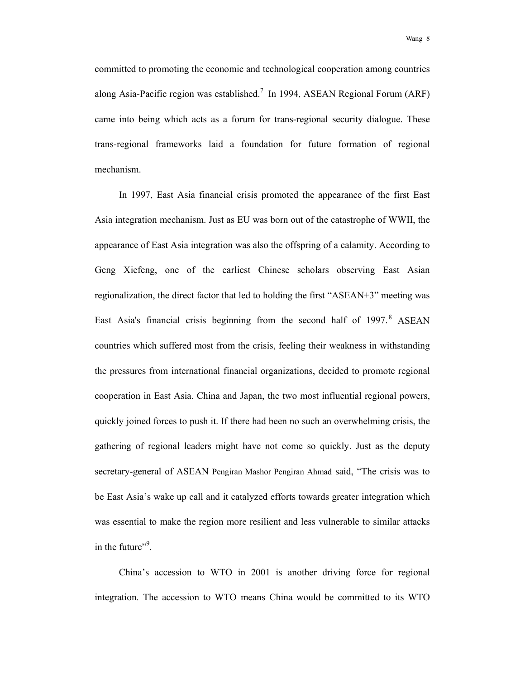wang 8

committed to promoting the economic and technological cooperation among countries along Asia-Pacific region was established.<sup>7</sup> In 1994, ASEAN Regional Forum (ARF) came into being which acts as a forum for trans-regional security dialogue. These trans-regional frameworks laid a foundation for future formation of regional mechanism.

In 1997, East Asia financial crisis promoted the appearance of the first East Asia integration mechanism. Just as EU was born out of the catastrophe of WWII, the appearance of East Asia integration was also the offspring of a calamity. According to Geng Xiefeng, one of the earliest Chinese scholars observing East Asian regionalization, the direct factor that led to holding the first "ASEAN+3" meeting was East Asia's financial crisis beginning from the second half of  $1997.8$  ASEAN countries which suffered most from the crisis, feeling their weakness in withstanding the pressures from international financial organizations, decided to promote regional cooperation in East Asia. China and Japan, the two most influential regional powers, quickly joined forces to push it. If there had been no such an overwhelming crisis, the gathering of regional leaders might have not come so quickly. Just as the deputy secretary-general of ASEAN Pengiran Mashor Pengiran Ahmad said, "The crisis was to be East Asia's wake up call and it catalyzed efforts towards greater integration which was essential to make the region more resilient and less vulnerable to similar attacks in the future" $\cdot$ <sup>9</sup>.

China's accession to WTO in 2001 is another driving force for regional integration. The accession to WTO means China would be committed to its WTO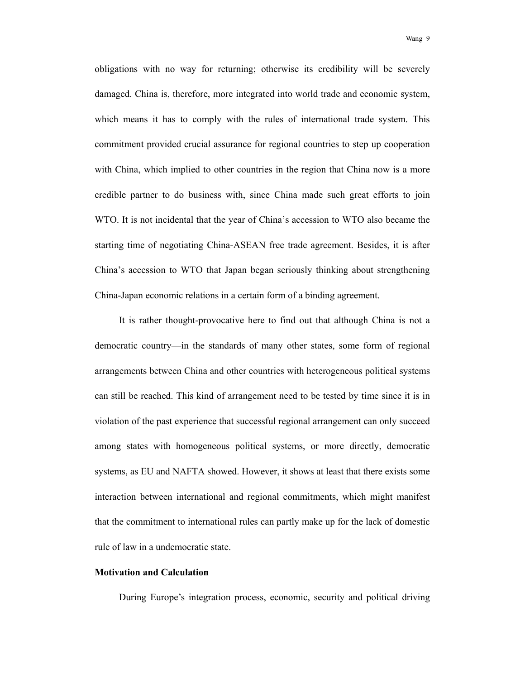obligations with no way for returning; otherwise its credibility will be severely damaged. China is, therefore, more integrated into world trade and economic system, which means it has to comply with the rules of international trade system. This commitment provided crucial assurance for regional countries to step up cooperation with China, which implied to other countries in the region that China now is a more credible partner to do business with, since China made such great efforts to join WTO. It is not incidental that the year of China's accession to WTO also became the starting time of negotiating China-ASEAN free trade agreement. Besides, it is after China's accession to WTO that Japan began seriously thinking about strengthening China-Japan economic relations in a certain form of a binding agreement.

It is rather thought-provocative here to find out that although China is not a democratic country—in the standards of many other states, some form of regional arrangements between China and other countries with heterogeneous political systems can still be reached. This kind of arrangement need to be tested by time since it is in violation of the past experience that successful regional arrangement can only succeed among states with homogeneous political systems, or more directly, democratic systems, as EU and NAFTA showed. However, it shows at least that there exists some interaction between international and regional commitments, which might manifest that the commitment to international rules can partly make up for the lack of domestic rule of law in a undemocratic state.

#### **Motivation and Calculation**

During Europe's integration process, economic, security and political driving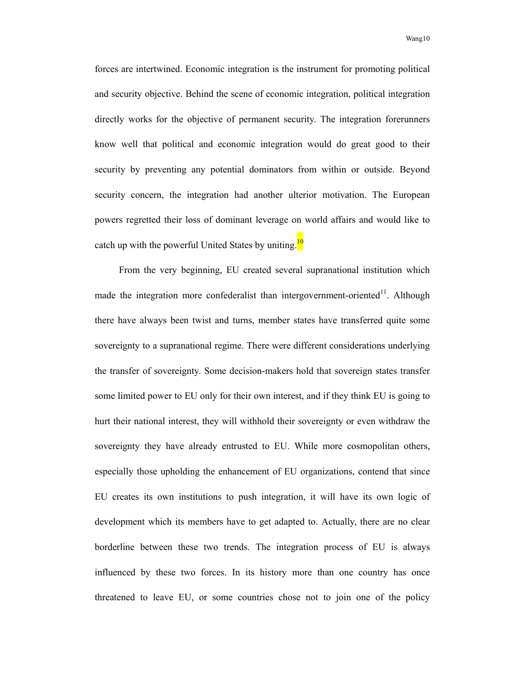forces are intertwined. Economic integration is the instrument for promoting political and security objective. Behind the scene of economic integration, political integration directly works for the objective of permanent security. The integration forerunners know well that political and economic integration would do great good to their security by preventing any potential dominators from within or outside. Beyond security concern, the integration had another ulterior motivation. The European powers regretted their loss of dominant leverage on world affairs and would like to catch up with the powerful United States by uniting. $\frac{10}{10}$ 

From the very beginning, EU created several supranational institution which made the integration more confederalist than intergovernment-oriented<sup>11</sup>. Although there have always been twist and turns, member states have transferred quite some sovereignty to a supranational regime. There were different considerations underlying the transfer of sovereignty. Some decision-makers hold that sovereign states transfer some limited power to EU only for their own interest, and if they think EU is going to hurt their national interest, they will withhold their sovereignty or even withdraw the sovereignty they have already entrusted to EU. While more cosmopolitan others, especially those upholding the enhancement of EU organizations, contend that since EU creates its own institutions to push integration, it will have its own logic of development which its members have to get adapted to. Actually, there are no clear borderline between these two trends. The integration process of EU is always influenced by these two forces. In its history more than one country has once threatened to leave EU, or some countries chose not to join one of the policy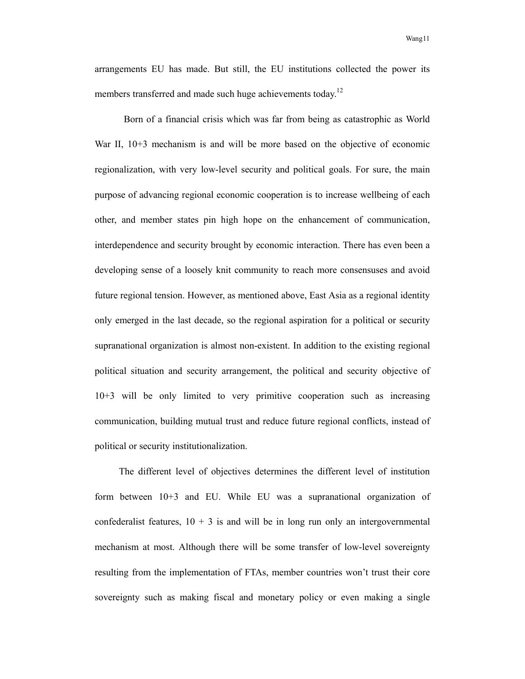arrangements EU has made. But still, the EU institutions collected the power its members transferred and made such huge achievements today.<sup>12</sup>

Born of a financial crisis which was far from being as catastrophic as World War II,  $10+3$  mechanism is and will be more based on the objective of economic regionalization, with very low-level security and political goals. For sure, the main purpose of advancing regional economic cooperation is to increase wellbeing of each other, and member states pin high hope on the enhancement of communication, interdependence and security brought by economic interaction. There has even been a developing sense of a loosely knit community to reach more consensuses and avoid future regional tension. However, as mentioned above, East Asia as a regional identity only emerged in the last decade, so the regional aspiration for a political or security supranational organization is almost non-existent. In addition to the existing regional political situation and security arrangement, the political and security objective of 10+3 will be only limited to very primitive cooperation such as increasing communication, building mutual trust and reduce future regional conflicts, instead of political or security institutionalization.

The different level of objectives determines the different level of institution form between 10+3 and EU. While EU was a supranational organization of confederalist features,  $10 + 3$  is and will be in long run only an intergovernmental mechanism at most. Although there will be some transfer of low-level sovereignty resulting from the implementation of FTAs, member countries won't trust their core sovereignty such as making fiscal and monetary policy or even making a single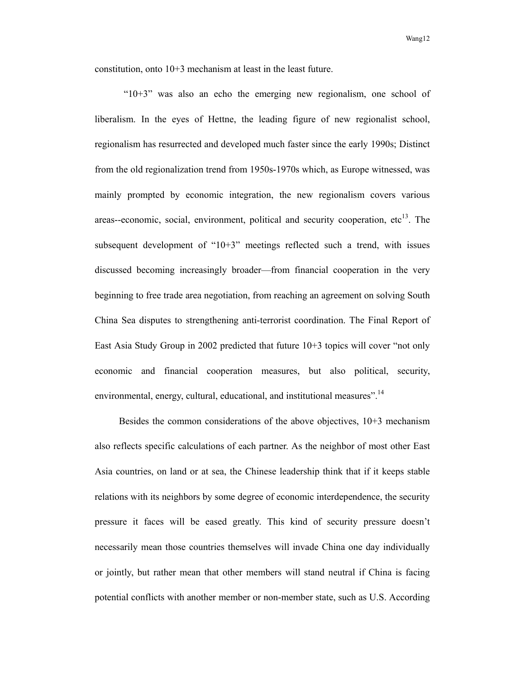constitution, onto 10+3 mechanism at least in the least future.

"10+3" was also an echo the emerging new regionalism, one school of liberalism. In the eyes of Hettne, the leading figure of new regionalist school, regionalism has resurrected and developed much faster since the early 1990s; Distinct from the old regionalization trend from 1950s-1970s which, as Europe witnessed, was mainly prompted by economic integration, the new regionalism covers various areas--economic, social, environment, political and security cooperation,  $etc^{13}$ . The subsequent development of "10+3" meetings reflected such a trend, with issues discussed becoming increasingly broader—from financial cooperation in the very beginning to free trade area negotiation, from reaching an agreement on solving South China Sea disputes to strengthening anti-terrorist coordination. The Final Report of East Asia Study Group in 2002 predicted that future 10+3 topics will cover "not only economic and financial cooperation measures, but also political, security, environmental, energy, cultural, educational, and institutional measures".<sup>14</sup>

Besides the common considerations of the above objectives, 10+3 mechanism also reflects specific calculations of each partner. As the neighbor of most other East Asia countries, on land or at sea, the Chinese leadership think that if it keeps stable relations with its neighbors by some degree of economic interdependence, the security pressure it faces will be eased greatly. This kind of security pressure doesn't necessarily mean those countries themselves will invade China one day individually or jointly, but rather mean that other members will stand neutral if China is facing potential conflicts with another member or non-member state, such as U.S. According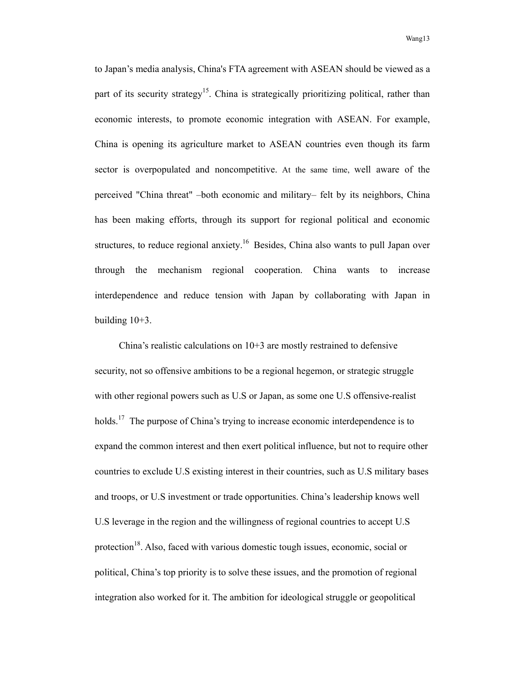to Japan's media analysis, China's FTA agreement with ASEAN should be viewed as a part of its security strategy<sup>15</sup>. China is strategically prioritizing political, rather than economic interests, to promote economic integration with ASEAN. For example, China is opening its agriculture market to ASEAN countries even though its farm sector is overpopulated and noncompetitive. At the same time, well aware of the perceived "China threat" –both economic and military– felt by its neighbors, China has been making efforts, through its support for regional political and economic structures, to reduce regional anxiety.<sup>16</sup> Besides, China also wants to pull Japan over through the mechanism regional cooperation. China wants to increase interdependence and reduce tension with Japan by collaborating with Japan in building  $10+3$ .

China's realistic calculations on 10+3 are mostly restrained to defensive security, not so offensive ambitions to be a regional hegemon, or strategic struggle with other regional powers such as U.S or Japan, as some one U.S offensive-realist holds.<sup>17</sup> The purpose of China's trying to increase economic interdependence is to expand the common interest and then exert political influence, but not to require other countries to exclude U.S existing interest in their countries, such as U.S military bases and troops, or U.S investment or trade opportunities. China's leadership knows well U.S leverage in the region and the willingness of regional countries to accept U.S protection<sup>18</sup>. Also, faced with various domestic tough issues, economic, social or political, China's top priority is to solve these issues, and the promotion of regional integration also worked for it. The ambition for ideological struggle or geopolitical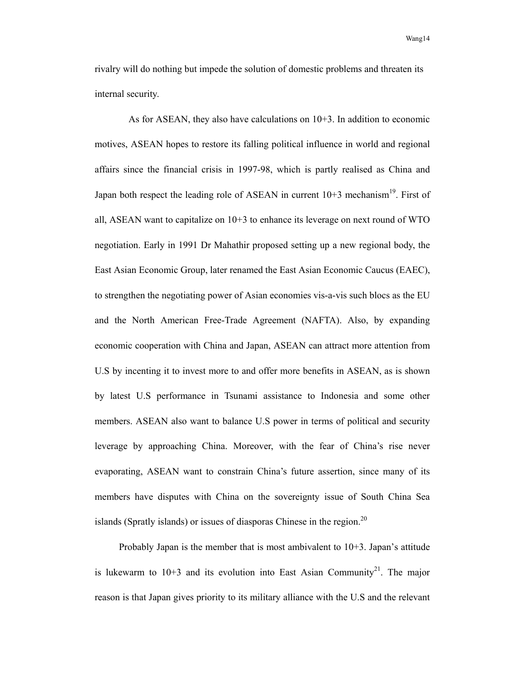rivalry will do nothing but impede the solution of domestic problems and threaten its internal security.

As for ASEAN, they also have calculations on  $10+3$ . In addition to economic motives, ASEAN hopes to restore its falling political influence in world and regional affairs since the financial crisis in 1997-98, which is partly realised as China and Japan both respect the leading role of ASEAN in current  $10+3$  mechanism<sup>19</sup>. First of all, ASEAN want to capitalize on  $10+3$  to enhance its leverage on next round of WTO negotiation. Early in 1991 Dr Mahathir proposed setting up a new regional body, the East Asian Economic Group, later renamed the East Asian Economic Caucus (EAEC), to strengthen the negotiating power of Asian economies vis-a-vis such blocs as the EU and the North American Free-Trade Agreement (NAFTA). Also, by expanding economic cooperation with China and Japan, ASEAN can attract more attention from U.S by incenting it to invest more to and offer more benefits in ASEAN, as is shown by latest U.S performance in Tsunami assistance to Indonesia and some other members. ASEAN also want to balance U.S power in terms of political and security leverage by approaching China. Moreover, with the fear of China's rise never evaporating, ASEAN want to constrain China's future assertion, since many of its members have disputes with China on the sovereignty issue of South China Sea islands (Spratly islands) or issues of diasporas Chinese in the region.<sup>20</sup>

Probably Japan is the member that is most ambivalent to  $10+3$ . Japan's attitude is lukewarm to  $10+3$  and its evolution into East Asian Community<sup>21</sup>. The major reason is that Japan gives priority to its military alliance with the U.S and the relevant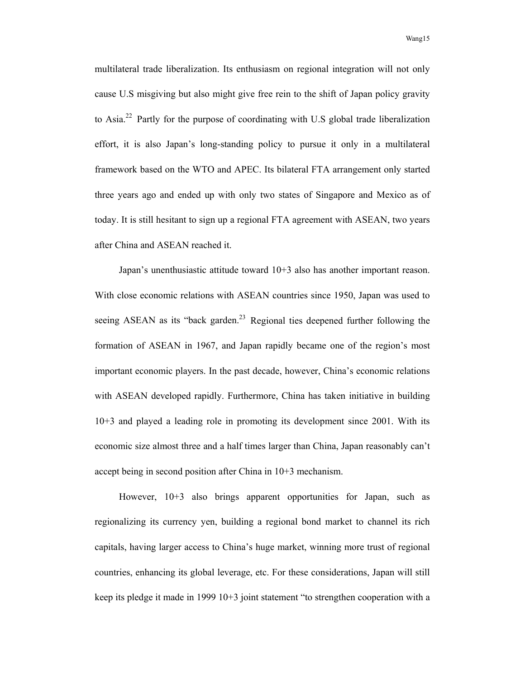multilateral trade liberalization. Its enthusiasm on regional integration will not only cause U.S misgiving but also might give free rein to the shift of Japan policy gravity to Asia.22 Partly for the purpose of coordinating with U.S global trade liberalization effort, it is also Japan's long-standing policy to pursue it only in a multilateral framework based on the WTO and APEC. Its bilateral FTA arrangement only started three years ago and ended up with only two states of Singapore and Mexico as of today. It is still hesitant to sign up a regional FTA agreement with ASEAN, two years after China and ASEAN reached it.

Japan's unenthusiastic attitude toward 10+3 also has another important reason. With close economic relations with ASEAN countries since 1950, Japan was used to seeing ASEAN as its "back garden. $^{23}$  Regional ties deepened further following the formation of ASEAN in 1967, and Japan rapidly became one of the region's most important economic players. In the past decade, however, China's economic relations with ASEAN developed rapidly. Furthermore, China has taken initiative in building 10+3 and played a leading role in promoting its development since 2001. With its economic size almost three and a half times larger than China, Japan reasonably can't accept being in second position after China in 10+3 mechanism.

However,  $10+3$  also brings apparent opportunities for Japan, such as regionalizing its currency yen, building a regional bond market to channel its rich capitals, having larger access to China's huge market, winning more trust of regional countries, enhancing its global leverage, etc. For these considerations, Japan will still keep its pledge it made in 1999 10+3 joint statement "to strengthen cooperation with a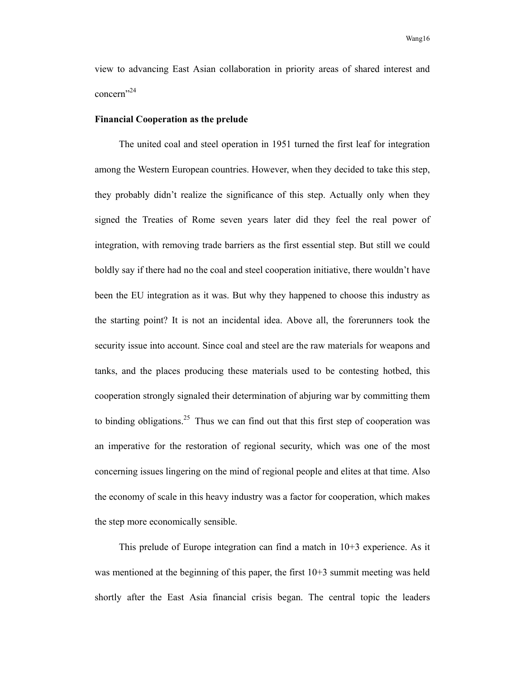view to advancing East Asian collaboration in priority areas of shared interest and concern<sup>"24</sup>

#### **Financial Cooperation as the prelude**

The united coal and steel operation in 1951 turned the first leaf for integration among the Western European countries. However, when they decided to take this step, they probably didn't realize the significance of this step. Actually only when they signed the Treaties of Rome seven years later did they feel the real power of integration, with removing trade barriers as the first essential step. But still we could boldly say if there had no the coal and steel cooperation initiative, there wouldn't have been the EU integration as it was. But why they happened to choose this industry as the starting point? It is not an incidental idea. Above all, the forerunners took the security issue into account. Since coal and steel are the raw materials for weapons and tanks, and the places producing these materials used to be contesting hotbed, this cooperation strongly signaled their determination of abjuring war by committing them to binding obligations.<sup>25</sup> Thus we can find out that this first step of cooperation was an imperative for the restoration of regional security, which was one of the most concerning issues lingering on the mind of regional people and elites at that time. Also the economy of scale in this heavy industry was a factor for cooperation, which makes the step more economically sensible.

This prelude of Europe integration can find a match in 10+3 experience. As it was mentioned at the beginning of this paper, the first 10+3 summit meeting was held shortly after the East Asia financial crisis began. The central topic the leaders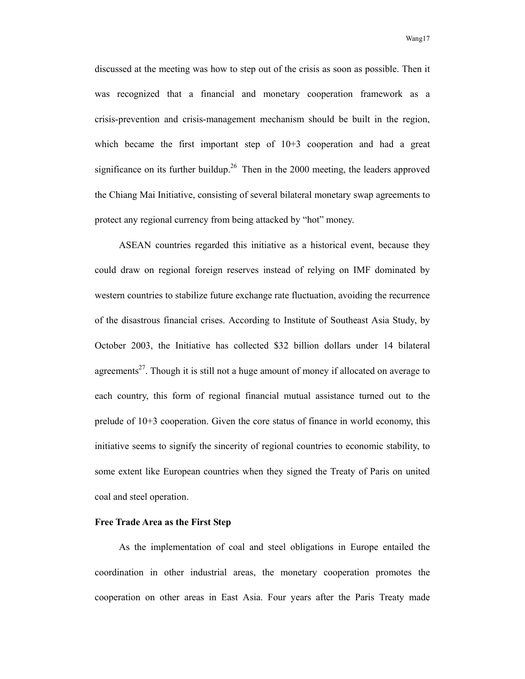discussed at the meeting was how to step out of the crisis as soon as possible. Then it was recognized that a financial and monetary cooperation framework as a crisis-prevention and crisis-management mechanism should be built in the region, which became the first important step of  $10+3$  cooperation and had a great significance on its further buildup.<sup>26</sup> Then in the 2000 meeting, the leaders approved the Chiang Mai Initiative, consisting of several bilateral monetary swap agreements to protect any regional currency from being attacked by "hot" money.

ASEAN countries regarded this initiative as a historical event, because they could draw on regional foreign reserves instead of relying on IMF dominated by western countries to stabilize future exchange rate fluctuation, avoiding the recurrence of the disastrous financial crises. According to Institute of Southeast Asia Study, by October 2003, the Initiative has collected \$32 billion dollars under 14 bilateral agreements<sup>27</sup>. Though it is still not a huge amount of money if allocated on average to each country, this form of regional financial mutual assistance turned out to the prelude of 10+3 cooperation. Given the core status of finance in world economy, this initiative seems to signify the sincerity of regional countries to economic stability, to some extent like European countries when they signed the Treaty of Paris on united coal and steel operation.

## **Free Trade Area as the First Step**

As the implementation of coal and steel obligations in Europe entailed the coordination in other industrial areas, the monetary cooperation promotes the cooperation on other areas in East Asia. Four years after the Paris Treaty made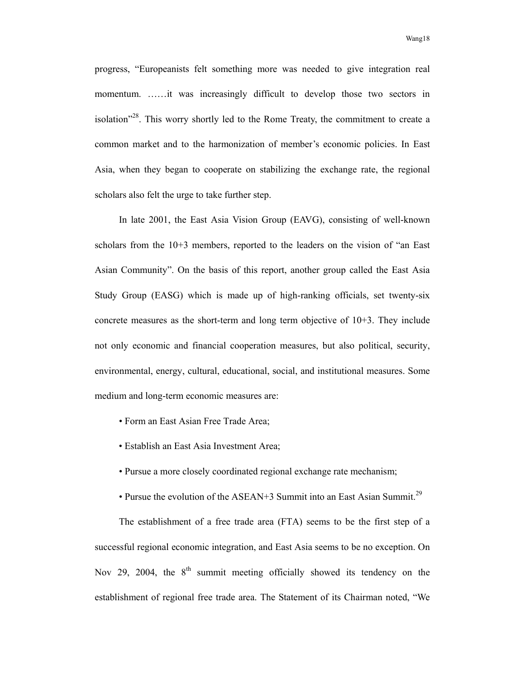progress, "Europeanists felt something more was needed to give integration real momentum. ……it was increasingly difficult to develop those two sectors in isolation $128$ <sup>28</sup>. This worry shortly led to the Rome Treaty, the commitment to create a common market and to the harmonization of member's economic policies. In East Asia, when they began to cooperate on stabilizing the exchange rate, the regional scholars also felt the urge to take further step.

In late 2001, the East Asia Vision Group (EAVG), consisting of well-known scholars from the 10+3 members, reported to the leaders on the vision of "an East Asian Community". On the basis of this report, another group called the East Asia Study Group (EASG) which is made up of high-ranking officials, set twenty-six concrete measures as the short-term and long term objective of 10+3. They include not only economic and financial cooperation measures, but also political, security, environmental, energy, cultural, educational, social, and institutional measures. Some medium and long-term economic measures are:

- Form an East Asian Free Trade Area;
- Establish an East Asia Investment Area;
- Pursue a more closely coordinated regional exchange rate mechanism;
- Pursue the evolution of the ASEAN+3 Summit into an East Asian Summit.<sup>29</sup>

The establishment of a free trade area (FTA) seems to be the first step of a successful regional economic integration, and East Asia seems to be no exception. On Nov 29, 2004, the  $8<sup>th</sup>$  summit meeting officially showed its tendency on the establishment of regional free trade area. The Statement of its Chairman noted, "We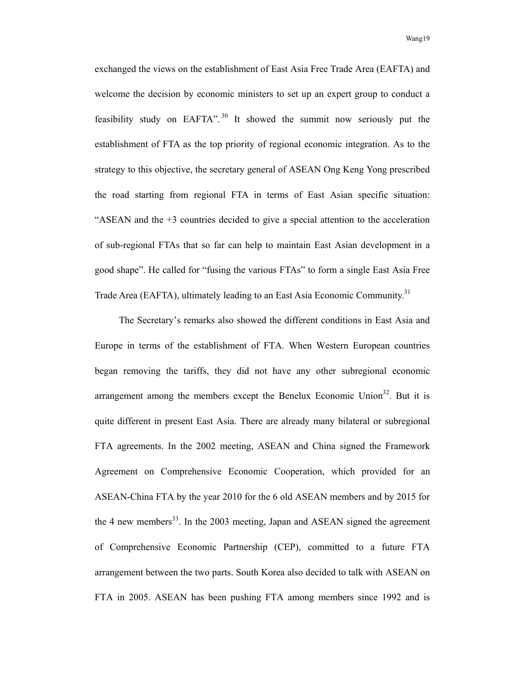exchanged the views on the establishment of East Asia Free Trade Area (EAFTA) and welcome the decision by economic ministers to set up an expert group to conduct a feasibility study on EAFTA". 30 It showed the summit now seriously put the establishment of FTA as the top priority of regional economic integration. As to the strategy to this objective, the secretary general of ASEAN Ong Keng Yong prescribed the road starting from regional FTA in terms of East Asian specific situation: "ASEAN and the +3 countries decided to give a special attention to the acceleration of sub-regional FTAs that so far can help to maintain East Asian development in a good shape". He called for "fusing the various FTAs" to form a single East Asia Free Trade Area (EAFTA), ultimately leading to an East Asia Economic Community.<sup>31</sup>

The Secretary's remarks also showed the different conditions in East Asia and Europe in terms of the establishment of FTA. When Western European countries began removing the tariffs, they did not have any other subregional economic arrangement among the members except the Benelux Economic Union<sup>32</sup>. But it is quite different in present East Asia. There are already many bilateral or subregional FTA agreements. In the 2002 meeting, ASEAN and China signed the Framework Agreement on Comprehensive Economic Cooperation, which provided for an ASEAN-China FTA by the year 2010 for the 6 old ASEAN members and by 2015 for the 4 new members<sup>33</sup>. In the 2003 meeting, Japan and ASEAN signed the agreement of Comprehensive Economic Partnership (CEP), committed to a future FTA arrangement between the two parts. South Korea also decided to talk with ASEAN on FTA in 2005. ASEAN has been pushing FTA among members since 1992 and is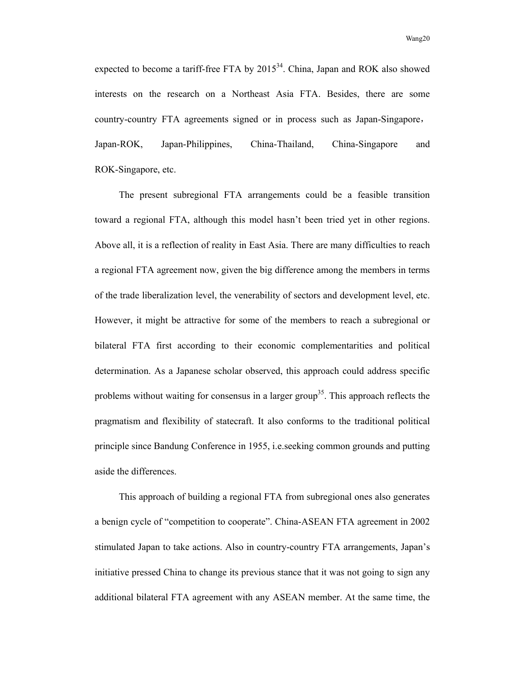expected to become a tariff-free FTA by  $2015^{34}$ . China, Japan and ROK also showed interests on the research on a Northeast Asia FTA. Besides, there are some country-country FTA agreements signed or in process such as Japan-Singapore, Japan-ROK, Japan-Philippines, China-Thailand, China-Singapore and ROK-Singapore, etc.

The present subregional FTA arrangements could be a feasible transition toward a regional FTA, although this model hasn't been tried yet in other regions. Above all, it is a reflection of reality in East Asia. There are many difficulties to reach a regional FTA agreement now, given the big difference among the members in terms of the trade liberalization level, the venerability of sectors and development level, etc. However, it might be attractive for some of the members to reach a subregional or bilateral FTA first according to their economic complementarities and political determination. As a Japanese scholar observed, this approach could address specific problems without waiting for consensus in a larger group<sup>35</sup>. This approach reflects the pragmatism and flexibility of statecraft. It also conforms to the traditional political principle since Bandung Conference in 1955, i.e.seeking common grounds and putting aside the differences.

This approach of building a regional FTA from subregional ones also generates a benign cycle of "competition to cooperate". China-ASEAN FTA agreement in 2002 stimulated Japan to take actions. Also in country-country FTA arrangements, Japan's initiative pressed China to change its previous stance that it was not going to sign any additional bilateral FTA agreement with any ASEAN member. At the same time, the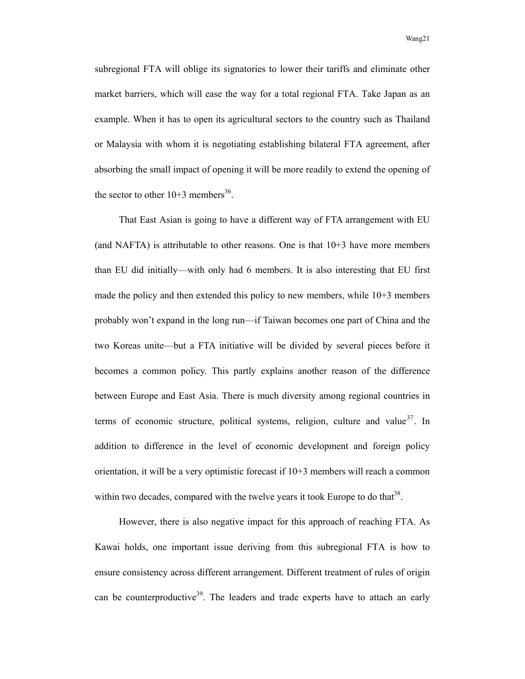subregional FTA will oblige its signatories to lower their tariffs and eliminate other market barriers, which will ease the way for a total regional FTA. Take Japan as an example. When it has to open its agricultural sectors to the country such as Thailand or Malaysia with whom it is negotiating establishing bilateral FTA agreement, after absorbing the small impact of opening it will be more readily to extend the opening of the sector to other  $10+3$  members<sup>36</sup>.

That East Asian is going to have a different way of FTA arrangement with EU (and NAFTA) is attributable to other reasons. One is that 10+3 have more members than EU did initially—with only had 6 members. It is also interesting that EU first made the policy and then extended this policy to new members, while 10+3 members probably won't expand in the long run—if Taiwan becomes one part of China and the two Koreas unite—but a FTA initiative will be divided by several pieces before it becomes a common policy. This partly explains another reason of the difference between Europe and East Asia. There is much diversity among regional countries in terms of economic structure, political systems, religion, culture and value<sup>37</sup>. In addition to difference in the level of economic development and foreign policy orientation, it will be a very optimistic forecast if 10+3 members will reach a common within two decades, compared with the twelve years it took Europe to do that  $38$ .

However, there is also negative impact for this approach of reaching FTA. As Kawai holds, one important issue deriving from this subregional FTA is how to ensure consistency across different arrangement. Different treatment of rules of origin can be counterproductive<sup>39</sup>. The leaders and trade experts have to attach an early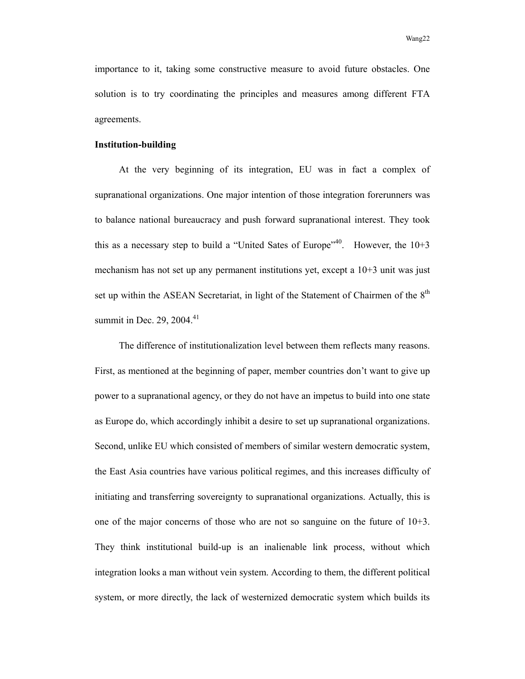importance to it, taking some constructive measure to avoid future obstacles. One solution is to try coordinating the principles and measures among different FTA agreements.

#### **Institution-building**

At the very beginning of its integration, EU was in fact a complex of supranational organizations. One major intention of those integration forerunners was to balance national bureaucracy and push forward supranational interest. They took this as a necessary step to build a "United Sates of Europe"<sup>40</sup>. However, the  $10+3$ mechanism has not set up any permanent institutions yet, except a 10+3 unit was just set up within the ASEAN Secretariat, in light of the Statement of Chairmen of the  $8<sup>th</sup>$ summit in Dec.  $29, 2004.<sup>41</sup>$ 

The difference of institutionalization level between them reflects many reasons. First, as mentioned at the beginning of paper, member countries don't want to give up power to a supranational agency, or they do not have an impetus to build into one state as Europe do, which accordingly inhibit a desire to set up supranational organizations. Second, unlike EU which consisted of members of similar western democratic system, the East Asia countries have various political regimes, and this increases difficulty of initiating and transferring sovereignty to supranational organizations. Actually, this is one of the major concerns of those who are not so sanguine on the future of 10+3. They think institutional build-up is an inalienable link process, without which integration looks a man without vein system. According to them, the different political system, or more directly, the lack of westernized democratic system which builds its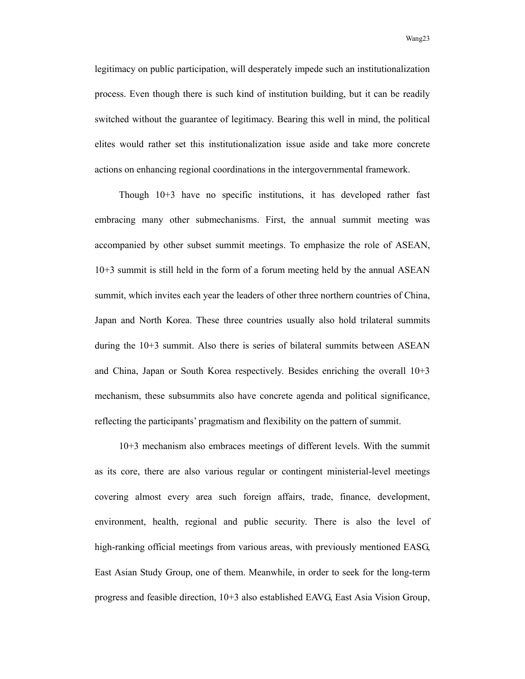legitimacy on public participation, will desperately impede such an institutionalization process. Even though there is such kind of institution building, but it can be readily switched without the guarantee of legitimacy. Bearing this well in mind, the political elites would rather set this institutionalization issue aside and take more concrete actions on enhancing regional coordinations in the intergovernmental framework.

Though 10+3 have no specific institutions, it has developed rather fast embracing many other submechanisms. First, the annual summit meeting was accompanied by other subset summit meetings. To emphasize the role of ASEAN, 10+3 summit is still held in the form of a forum meeting held by the annual ASEAN summit, which invites each year the leaders of other three northern countries of China, Japan and North Korea. These three countries usually also hold trilateral summits during the 10+3 summit. Also there is series of bilateral summits between ASEAN and China, Japan or South Korea respectively. Besides enriching the overall 10+3 mechanism, these subsummits also have concrete agenda and political significance, reflecting the participants' pragmatism and flexibility on the pattern of summit.

10+3 mechanism also embraces meetings of different levels. With the summit as its core, there are also various regular or contingent ministerial-level meetings covering almost every area such foreign affairs, trade, finance, development, environment, health, regional and public security. There is also the level of high-ranking official meetings from various areas, with previously mentioned EASG, East Asian Study Group, one of them. Meanwhile, in order to seek for the long-term progress and feasible direction, 10+3 also established EAVG, East Asia Vision Group,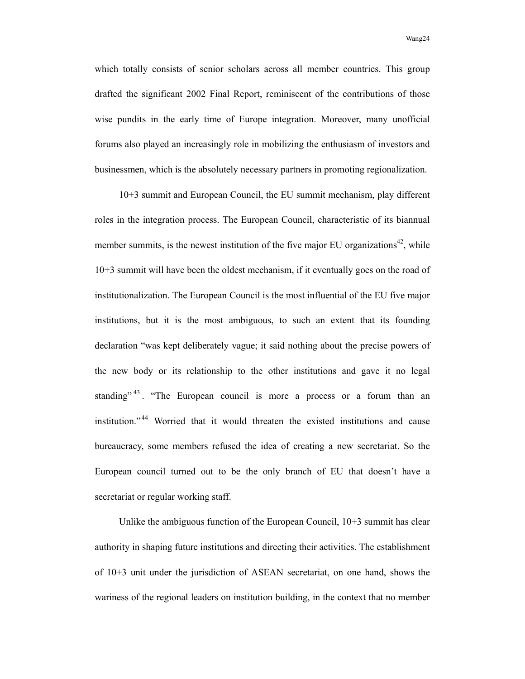which totally consists of senior scholars across all member countries. This group drafted the significant 2002 Final Report, reminiscent of the contributions of those wise pundits in the early time of Europe integration. Moreover, many unofficial forums also played an increasingly role in mobilizing the enthusiasm of investors and businessmen, which is the absolutely necessary partners in promoting regionalization.

10+3 summit and European Council, the EU summit mechanism, play different roles in the integration process. The European Council, characteristic of its biannual member summits, is the newest institution of the five major EU organizations<sup>42</sup>, while 10+3 summit will have been the oldest mechanism, if it eventually goes on the road of institutionalization. The European Council is the most influential of the EU five major institutions, but it is the most ambiguous, to such an extent that its founding declaration "was kept deliberately vague; it said nothing about the precise powers of the new body or its relationship to the other institutions and gave it no legal standing"<sup>43</sup>. "The European council is more a process or a forum than an institution." 44 Worried that it would threaten the existed institutions and cause bureaucracy, some members refused the idea of creating a new secretariat. So the European council turned out to be the only branch of EU that doesn't have a secretariat or regular working staff.

Unlike the ambiguous function of the European Council, 10+3 summit has clear authority in shaping future institutions and directing their activities. The establishment of 10+3 unit under the jurisdiction of ASEAN secretariat, on one hand, shows the wariness of the regional leaders on institution building, in the context that no member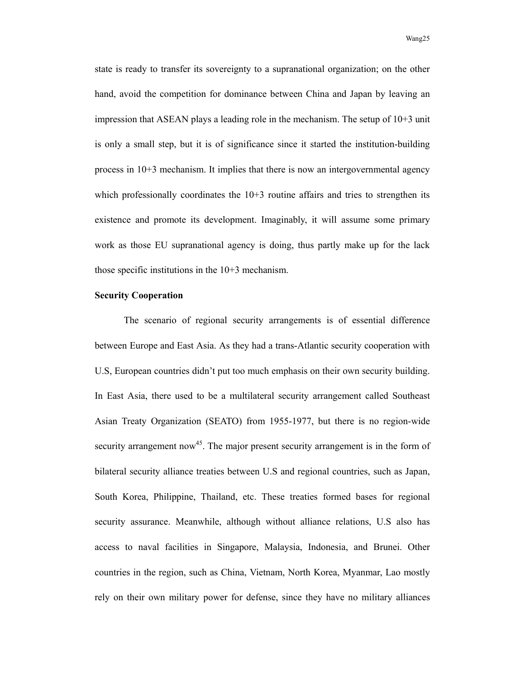state is ready to transfer its sovereignty to a supranational organization; on the other hand, avoid the competition for dominance between China and Japan by leaving an impression that ASEAN plays a leading role in the mechanism. The setup of 10+3 unit is only a small step, but it is of significance since it started the institution-building process in 10+3 mechanism. It implies that there is now an intergovernmental agency which professionally coordinates the  $10+3$  routine affairs and tries to strengthen its existence and promote its development. Imaginably, it will assume some primary work as those EU supranational agency is doing, thus partly make up for the lack those specific institutions in the 10+3 mechanism.

## **Security Cooperation**

 The scenario of regional security arrangements is of essential difference between Europe and East Asia. As they had a trans-Atlantic security cooperation with U.S, European countries didn't put too much emphasis on their own security building. In East Asia, there used to be a multilateral security arrangement called Southeast Asian Treaty Organization (SEATO) from 1955-1977, but there is no region-wide security arrangement now<sup>45</sup>. The major present security arrangement is in the form of bilateral security alliance treaties between U.S and regional countries, such as Japan, South Korea, Philippine, Thailand, etc. These treaties formed bases for regional security assurance. Meanwhile, although without alliance relations, U.S also has access to naval facilities in Singapore, Malaysia, Indonesia, and Brunei. Other countries in the region, such as China, Vietnam, North Korea, Myanmar, Lao mostly rely on their own military power for defense, since they have no military alliances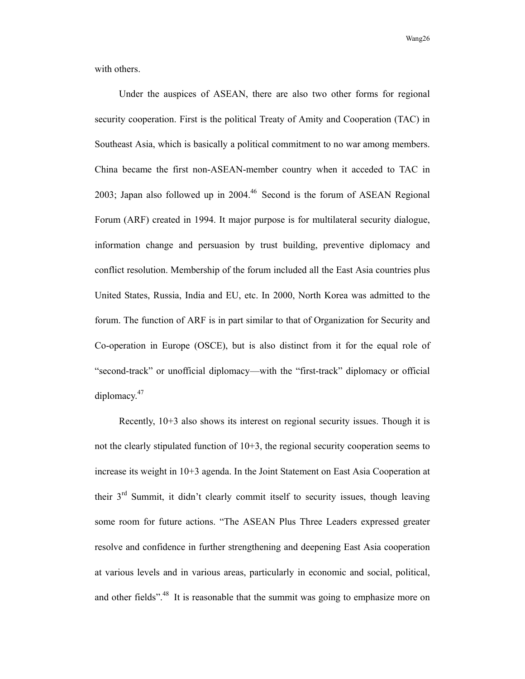Wang 26 November 26, November 26, November 26, November 26, November 26, November 26, November 26, November 26

with others.

Under the auspices of ASEAN, there are also two other forms for regional security cooperation. First is the political Treaty of Amity and Cooperation (TAC) in Southeast Asia, which is basically a political commitment to no war among members. China became the first non-ASEAN-member country when it acceded to TAC in 2003; Japan also followed up in 2004.46 Second is the forum of ASEAN Regional Forum (ARF) created in 1994. It major purpose is for multilateral security dialogue, information change and persuasion by trust building, preventive diplomacy and conflict resolution. Membership of the forum included all the East Asia countries plus United States, Russia, India and EU, etc. In 2000, North Korea was admitted to the forum. The function of ARF is in part similar to that of Organization for Security and Co-operation in Europe (OSCE), but is also distinct from it for the equal role of "second-track" or unofficial diplomacy—with the "first-track" diplomacy or official diplomacy. $47$ 

Recently, 10+3 also shows its interest on regional security issues. Though it is not the clearly stipulated function of 10+3, the regional security cooperation seems to increase its weight in 10+3 agenda. In the Joint Statement on East Asia Cooperation at their 3rd Summit, it didn't clearly commit itself to security issues, though leaving some room for future actions. "The ASEAN Plus Three Leaders expressed greater resolve and confidence in further strengthening and deepening East Asia cooperation at various levels and in various areas, particularly in economic and social, political, and other fields".<sup>48</sup> It is reasonable that the summit was going to emphasize more on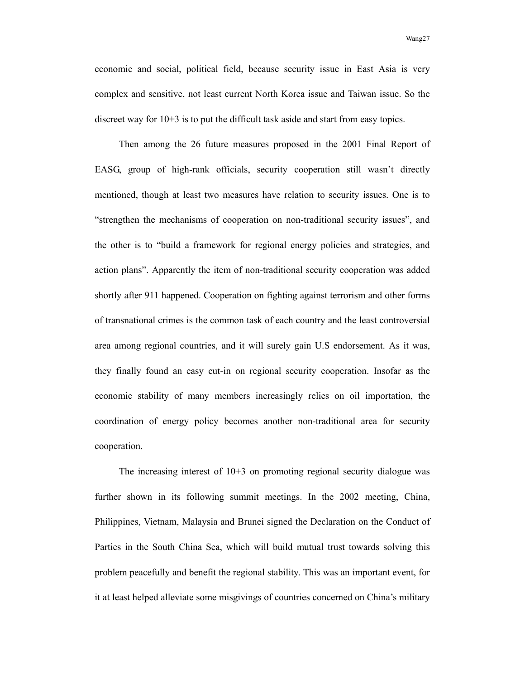economic and social, political field, because security issue in East Asia is very complex and sensitive, not least current North Korea issue and Taiwan issue. So the discreet way for 10+3 is to put the difficult task aside and start from easy topics.

Then among the 26 future measures proposed in the 2001 Final Report of EASG, group of high-rank officials, security cooperation still wasn't directly mentioned, though at least two measures have relation to security issues. One is to "strengthen the mechanisms of cooperation on non-traditional security issues", and the other is to "build a framework for regional energy policies and strategies, and action plans". Apparently the item of non-traditional security cooperation was added shortly after 911 happened. Cooperation on fighting against terrorism and other forms of transnational crimes is the common task of each country and the least controversial area among regional countries, and it will surely gain U.S endorsement. As it was, they finally found an easy cut-in on regional security cooperation. Insofar as the economic stability of many members increasingly relies on oil importation, the coordination of energy policy becomes another non-traditional area for security cooperation.

The increasing interest of  $10+3$  on promoting regional security dialogue was further shown in its following summit meetings. In the 2002 meeting, China, Philippines, Vietnam, Malaysia and Brunei signed the Declaration on the Conduct of Parties in the South China Sea, which will build mutual trust towards solving this problem peacefully and benefit the regional stability. This was an important event, for it at least helped alleviate some misgivings of countries concerned on China's military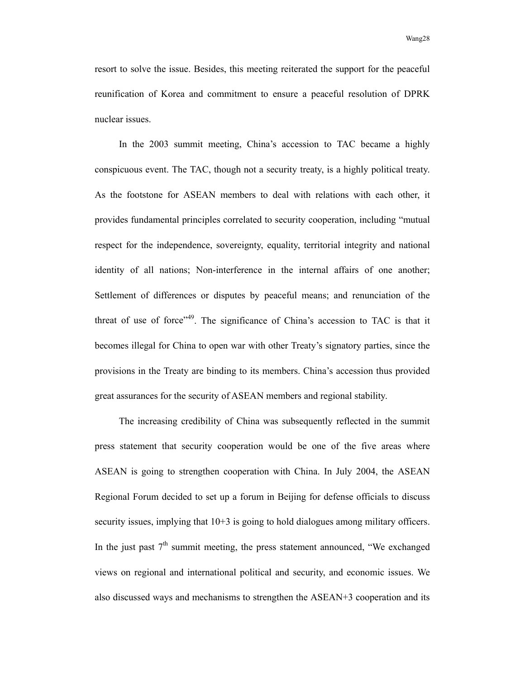resort to solve the issue. Besides, this meeting reiterated the support for the peaceful reunification of Korea and commitment to ensure a peaceful resolution of DPRK nuclear issues.

In the 2003 summit meeting, China's accession to TAC became a highly conspicuous event. The TAC, though not a security treaty, is a highly political treaty. As the footstone for ASEAN members to deal with relations with each other, it provides fundamental principles correlated to security cooperation, including "mutual respect for the independence, sovereignty, equality, territorial integrity and national identity of all nations; Non-interference in the internal affairs of one another; Settlement of differences or disputes by peaceful means; and renunciation of the threat of use of force"<sup>49</sup>. The significance of China's accession to TAC is that it becomes illegal for China to open war with other Treaty's signatory parties, since the provisions in the Treaty are binding to its members. China's accession thus provided great assurances for the security of ASEAN members and regional stability.

The increasing credibility of China was subsequently reflected in the summit press statement that security cooperation would be one of the five areas where ASEAN is going to strengthen cooperation with China. In July 2004, the ASEAN Regional Forum decided to set up a forum in Beijing for defense officials to discuss security issues, implying that 10+3 is going to hold dialogues among military officers. In the just past  $7<sup>th</sup>$  summit meeting, the press statement announced, "We exchanged views on regional and international political and security, and economic issues. We also discussed ways and mechanisms to strengthen the ASEAN+3 cooperation and its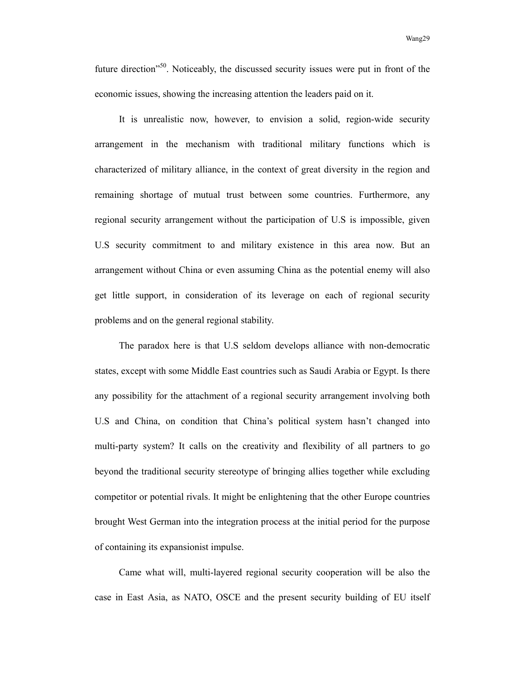future direction<sup>"50</sup>. Noticeably, the discussed security issues were put in front of the economic issues, showing the increasing attention the leaders paid on it.

It is unrealistic now, however, to envision a solid, region-wide security arrangement in the mechanism with traditional military functions which is characterized of military alliance, in the context of great diversity in the region and remaining shortage of mutual trust between some countries. Furthermore, any regional security arrangement without the participation of U.S is impossible, given U.S security commitment to and military existence in this area now. But an arrangement without China or even assuming China as the potential enemy will also get little support, in consideration of its leverage on each of regional security problems and on the general regional stability.

The paradox here is that U.S seldom develops alliance with non-democratic states, except with some Middle East countries such as Saudi Arabia or Egypt. Is there any possibility for the attachment of a regional security arrangement involving both U.S and China, on condition that China's political system hasn't changed into multi-party system? It calls on the creativity and flexibility of all partners to go beyond the traditional security stereotype of bringing allies together while excluding competitor or potential rivals. It might be enlightening that the other Europe countries brought West German into the integration process at the initial period for the purpose of containing its expansionist impulse.

Came what will, multi-layered regional security cooperation will be also the case in East Asia, as NATO, OSCE and the present security building of EU itself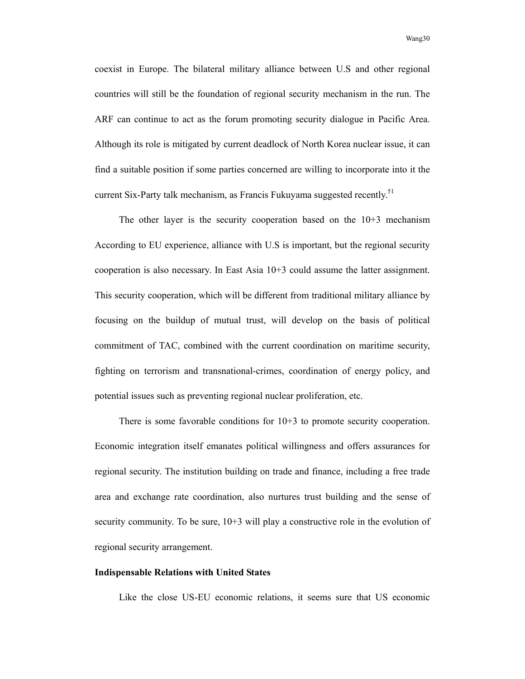coexist in Europe. The bilateral military alliance between U.S and other regional countries will still be the foundation of regional security mechanism in the run. The ARF can continue to act as the forum promoting security dialogue in Pacific Area. Although its role is mitigated by current deadlock of North Korea nuclear issue, it can find a suitable position if some parties concerned are willing to incorporate into it the current Six-Party talk mechanism, as Francis Fukuyama suggested recently.<sup>51</sup>

The other layer is the security cooperation based on the 10+3 mechanism According to EU experience, alliance with U.S is important, but the regional security cooperation is also necessary. In East Asia 10+3 could assume the latter assignment. This security cooperation, which will be different from traditional military alliance by focusing on the buildup of mutual trust, will develop on the basis of political commitment of TAC, combined with the current coordination on maritime security, fighting on terrorism and transnational-crimes, coordination of energy policy, and potential issues such as preventing regional nuclear proliferation, etc.

There is some favorable conditions for 10+3 to promote security cooperation. Economic integration itself emanates political willingness and offers assurances for regional security. The institution building on trade and finance, including a free trade area and exchange rate coordination, also nurtures trust building and the sense of security community. To be sure, 10+3 will play a constructive role in the evolution of regional security arrangement.

## **Indispensable Relations with United States**

Like the close US-EU economic relations, it seems sure that US economic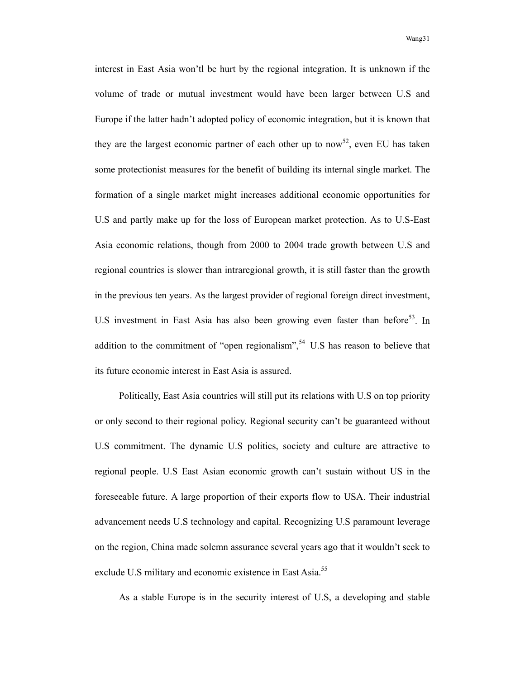interest in East Asia won'tl be hurt by the regional integration. It is unknown if the volume of trade or mutual investment would have been larger between U.S and Europe if the latter hadn't adopted policy of economic integration, but it is known that they are the largest economic partner of each other up to now<sup>52</sup>, even EU has taken some protectionist measures for the benefit of building its internal single market. The formation of a single market might increases additional economic opportunities for U.S and partly make up for the loss of European market protection. As to U.S-East Asia economic relations, though from 2000 to 2004 trade growth between U.S and regional countries is slower than intraregional growth, it is still faster than the growth in the previous ten years. As the largest provider of regional foreign direct investment, U.S investment in East Asia has also been growing even faster than before<sup>53</sup>. In addition to the commitment of "open regionalism",  $54$  U.S has reason to believe that its future economic interest in East Asia is assured.

Politically, East Asia countries will still put its relations with U.S on top priority or only second to their regional policy. Regional security can't be guaranteed without U.S commitment. The dynamic U.S politics, society and culture are attractive to regional people. U.S East Asian economic growth can't sustain without US in the foreseeable future. A large proportion of their exports flow to USA. Their industrial advancement needs U.S technology and capital. Recognizing U.S paramount leverage on the region, China made solemn assurance several years ago that it wouldn't seek to exclude U.S military and economic existence in East Asia.<sup>55</sup>

As a stable Europe is in the security interest of U.S, a developing and stable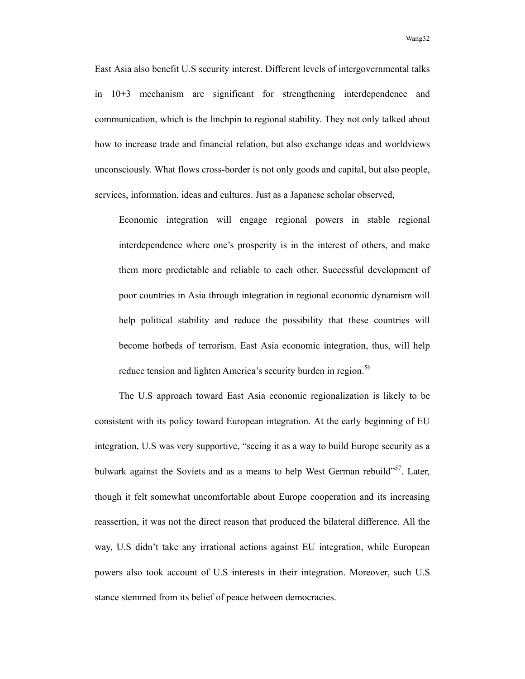East Asia also benefit U.S security interest. Different levels of intergovernmental talks in 10+3 mechanism are significant for strengthening interdependence and communication, which is the linchpin to regional stability. They not only talked about how to increase trade and financial relation, but also exchange ideas and worldviews unconsciously. What flows cross-border is not only goods and capital, but also people, services, information, ideas and cultures. Just as a Japanese scholar observed,

Economic integration will engage regional powers in stable regional interdependence where one's prosperity is in the interest of others, and make them more predictable and reliable to each other. Successful development of poor countries in Asia through integration in regional economic dynamism will help political stability and reduce the possibility that these countries will become hotbeds of terrorism. East Asia economic integration, thus, will help reduce tension and lighten America's security burden in region.<sup>56</sup>

The U.S approach toward East Asia economic regionalization is likely to be consistent with its policy toward European integration. At the early beginning of EU integration, U.S was very supportive, "seeing it as a way to build Europe security as a bulwark against the Soviets and as a means to help West German rebuild"<sup>57</sup>. Later, though it felt somewhat uncomfortable about Europe cooperation and its increasing reassertion, it was not the direct reason that produced the bilateral difference. All the way, U.S didn't take any irrational actions against EU integration, while European powers also took account of U.S interests in their integration. Moreover, such U.S stance stemmed from its belief of peace between democracies.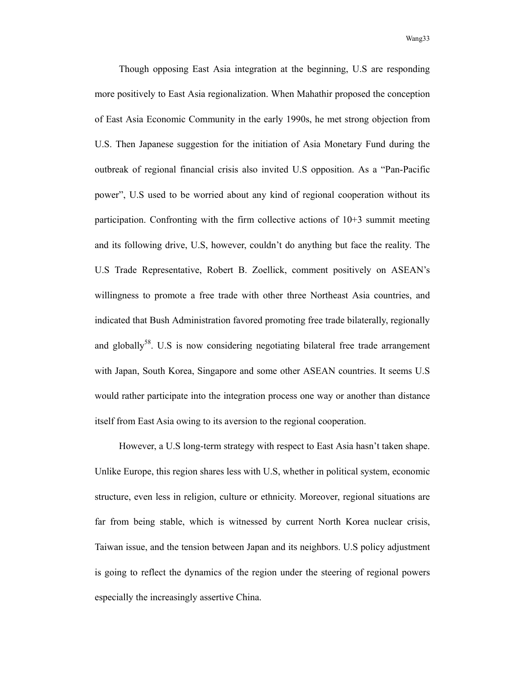Though opposing East Asia integration at the beginning, U.S are responding more positively to East Asia regionalization. When Mahathir proposed the conception of East Asia Economic Community in the early 1990s, he met strong objection from U.S. Then Japanese suggestion for the initiation of Asia Monetary Fund during the outbreak of regional financial crisis also invited U.S opposition. As a "Pan-Pacific power", U.S used to be worried about any kind of regional cooperation without its participation. Confronting with the firm collective actions of 10+3 summit meeting and its following drive, U.S, however, couldn't do anything but face the reality. The U.S Trade Representative, Robert B. Zoellick, comment positively on ASEAN's willingness to promote a free trade with other three Northeast Asia countries, and indicated that Bush Administration favored promoting free trade bilaterally, regionally and globally<sup>58</sup>. U.S is now considering negotiating bilateral free trade arrangement with Japan, South Korea, Singapore and some other ASEAN countries. It seems U.S would rather participate into the integration process one way or another than distance itself from East Asia owing to its aversion to the regional cooperation.

However, a U.S long-term strategy with respect to East Asia hasn't taken shape. Unlike Europe, this region shares less with U.S, whether in political system, economic structure, even less in religion, culture or ethnicity. Moreover, regional situations are far from being stable, which is witnessed by current North Korea nuclear crisis, Taiwan issue, and the tension between Japan and its neighbors. U.S policy adjustment is going to reflect the dynamics of the region under the steering of regional powers especially the increasingly assertive China.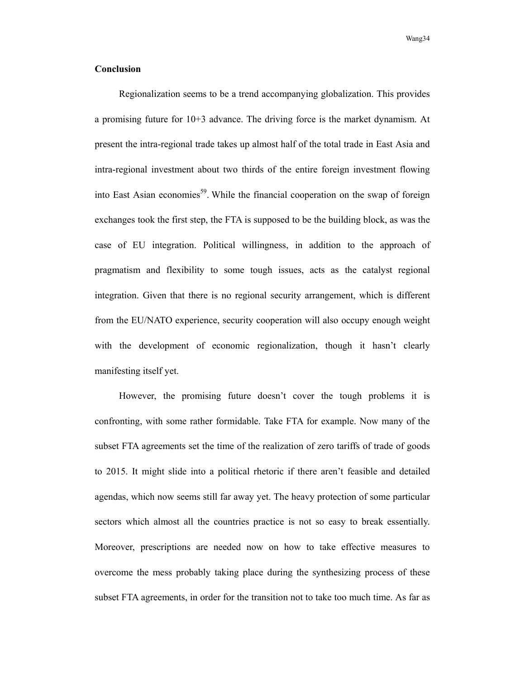## **Conclusion**

Regionalization seems to be a trend accompanying globalization. This provides a promising future for 10+3 advance. The driving force is the market dynamism. At present the intra-regional trade takes up almost half of the total trade in East Asia and intra-regional investment about two thirds of the entire foreign investment flowing into East Asian economies<sup>59</sup>. While the financial cooperation on the swap of foreign exchanges took the first step, the FTA is supposed to be the building block, as was the case of EU integration. Political willingness, in addition to the approach of pragmatism and flexibility to some tough issues, acts as the catalyst regional integration. Given that there is no regional security arrangement, which is different from the EU/NATO experience, security cooperation will also occupy enough weight with the development of economic regionalization, though it hasn't clearly manifesting itself yet.

However, the promising future doesn't cover the tough problems it is confronting, with some rather formidable. Take FTA for example. Now many of the subset FTA agreements set the time of the realization of zero tariffs of trade of goods to 2015. It might slide into a political rhetoric if there aren't feasible and detailed agendas, which now seems still far away yet. The heavy protection of some particular sectors which almost all the countries practice is not so easy to break essentially. Moreover, prescriptions are needed now on how to take effective measures to overcome the mess probably taking place during the synthesizing process of these subset FTA agreements, in order for the transition not to take too much time. As far as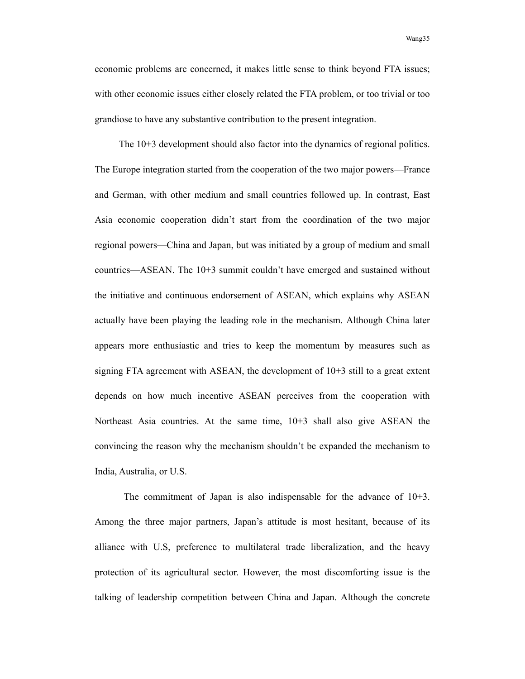economic problems are concerned, it makes little sense to think beyond FTA issues; with other economic issues either closely related the FTA problem, or too trivial or too grandiose to have any substantive contribution to the present integration.

The 10+3 development should also factor into the dynamics of regional politics. The Europe integration started from the cooperation of the two major powers—France and German, with other medium and small countries followed up. In contrast, East Asia economic cooperation didn't start from the coordination of the two major regional powers—China and Japan, but was initiated by a group of medium and small countries—ASEAN. The 10+3 summit couldn't have emerged and sustained without the initiative and continuous endorsement of ASEAN, which explains why ASEAN actually have been playing the leading role in the mechanism. Although China later appears more enthusiastic and tries to keep the momentum by measures such as signing FTA agreement with ASEAN, the development of 10+3 still to a great extent depends on how much incentive ASEAN perceives from the cooperation with Northeast Asia countries. At the same time, 10+3 shall also give ASEAN the convincing the reason why the mechanism shouldn't be expanded the mechanism to India, Australia, or U.S.

 The commitment of Japan is also indispensable for the advance of 10+3. Among the three major partners, Japan's attitude is most hesitant, because of its alliance with U.S, preference to multilateral trade liberalization, and the heavy protection of its agricultural sector. However, the most discomforting issue is the talking of leadership competition between China and Japan. Although the concrete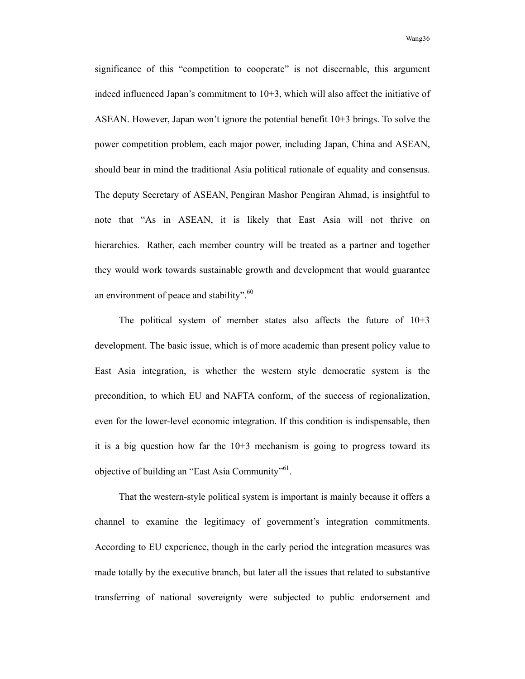Wang 36 November 2014 and 2014 and 2014 and 2014 and 2014 and 2014 and 2014 and 2014 and 2014 and 2014 and 201

significance of this "competition to cooperate" is not discernable, this argument indeed influenced Japan's commitment to 10+3, which will also affect the initiative of ASEAN. However, Japan won't ignore the potential benefit 10+3 brings. To solve the power competition problem, each major power, including Japan, China and ASEAN, should bear in mind the traditional Asia political rationale of equality and consensus. The deputy Secretary of ASEAN, Pengiran Mashor Pengiran Ahmad, is insightful to note that "As in ASEAN, it is likely that East Asia will not thrive on hierarchies. Rather, each member country will be treated as a partner and together they would work towards sustainable growth and development that would guarantee an environment of peace and stability". $60$ 

The political system of member states also affects the future of  $10+3$ development. The basic issue, which is of more academic than present policy value to East Asia integration, is whether the western style democratic system is the precondition, to which EU and NAFTA conform, of the success of regionalization, even for the lower-level economic integration. If this condition is indispensable, then it is a big question how far the 10+3 mechanism is going to progress toward its objective of building an "East Asia Community"<sup>61</sup>.

That the western-style political system is important is mainly because it offers a channel to examine the legitimacy of government's integration commitments. According to EU experience, though in the early period the integration measures was made totally by the executive branch, but later all the issues that related to substantive transferring of national sovereignty were subjected to public endorsement and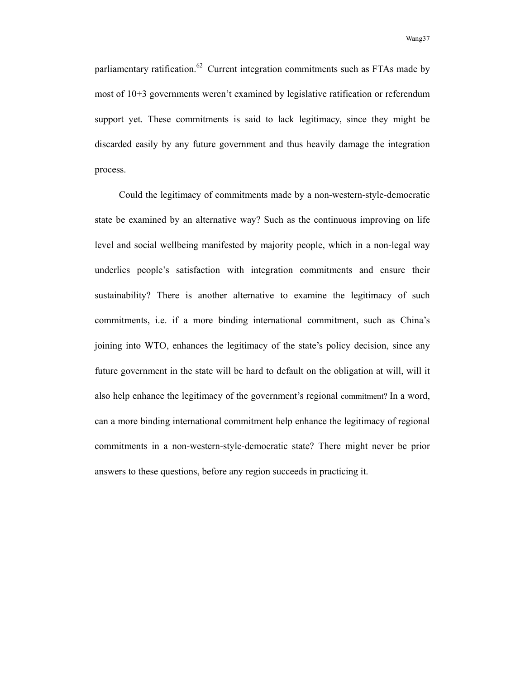parliamentary ratification.<sup>62</sup> Current integration commitments such as FTAs made by most of 10+3 governments weren't examined by legislative ratification or referendum support yet. These commitments is said to lack legitimacy, since they might be discarded easily by any future government and thus heavily damage the integration process.

Could the legitimacy of commitments made by a non-western-style-democratic state be examined by an alternative way? Such as the continuous improving on life level and social wellbeing manifested by majority people, which in a non-legal way underlies people's satisfaction with integration commitments and ensure their sustainability? There is another alternative to examine the legitimacy of such commitments, i.e. if a more binding international commitment, such as China's joining into WTO, enhances the legitimacy of the state's policy decision, since any future government in the state will be hard to default on the obligation at will, will it also help enhance the legitimacy of the government's regional commitment? In a word, can a more binding international commitment help enhance the legitimacy of regional commitments in a non-western-style-democratic state? There might never be prior answers to these questions, before any region succeeds in practicing it.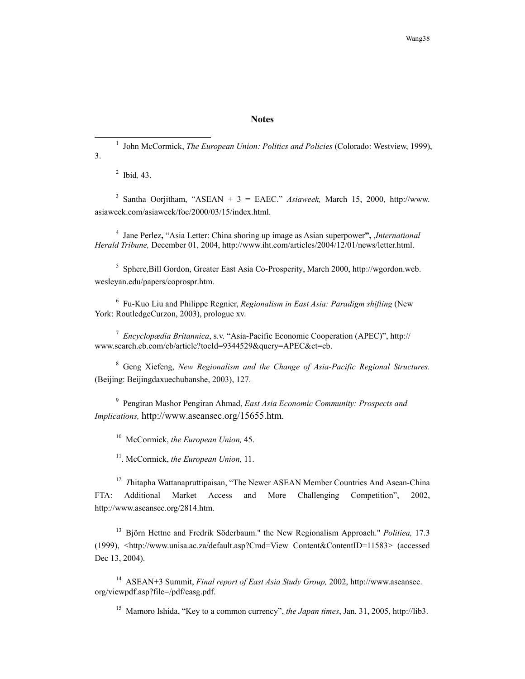#### **Notes**

 $\frac{1}{1}$ <sup>1</sup> John McCormick, *The European Union: Politics and Policies* (Colorado: Westview, 1999), 3.

2 Ibid*,* 43.

 $3$  Santha Oorjitham, "ASEAN + 3 = EAEC." Asiaweek, March 15, 2000, http://www. asiaweek.com/asiaweek/foc/2000/03/15/index.html.

4 Jane Perlez**,** "Asia Letter: China shoring up image as Asian superpower**",** ,*International Herald Tribune,* December 01, 2004, http://www.iht.com/articles/2004/12/01/news/letter.html.

<sup>5</sup> Sphere, Bill Gordon, Greater East Asia Co-Prosperity, March 2000, http://wgordon.web. wesleyan.edu/papers/coprospr.htm.

6 Fu-Kuo Liu and Philippe Regnier, *Regionalism in East Asia: Paradigm shifting* (New York: RoutledgeCurzon, 2003), prologue xv.

<sup>7</sup> *Encyclopædia Britannica*, s.v. "Asia-Pacific Economic Cooperation (APEC)", http:// www.search.eb.com/eb/article?tocId=9344529&query=APEC&ct=eb.

8 Geng Xiefeng, *New Regionalism and the Change of Asia-Pacific Regional Structures.* (Beijing: Beijingdaxuechubanshe, 2003), 127.

9 Pengiran Mashor Pengiran Ahmad, *East Asia Economic Community: Prospects and Implications,* http://www.aseansec.org/15655.htm.

10 McCormick, *the European Union,* 45.

11. McCormick, *the European Union,* 11.

<sup>12</sup> *Thitapha Wattanapruttipaisan,* "The Newer ASEAN Member Countries And Asean-China FTA: Additional Market Access and More Challenging Competition", 2002, http://www.aseansec.org/2814.htm.

13 Björn Hettne and Fredrik Söderbaum." the New Regionalism Approach." *Politiea,* 17.3 (1999), <http://www.unisa.ac.za/default.asp?Cmd=View Content&ContentID=11583> (accessed Dec 13, 2004).

14 ASEAN+3 Summit, *Final report of East Asia Study Group,* 2002, http://www.aseansec. org/viewpdf.asp?file=/pdf/easg.pdf.

15 Mamoro Ishida, "Key to a common currency", *the Japan times*, Jan. 31, 2005, http://lib3.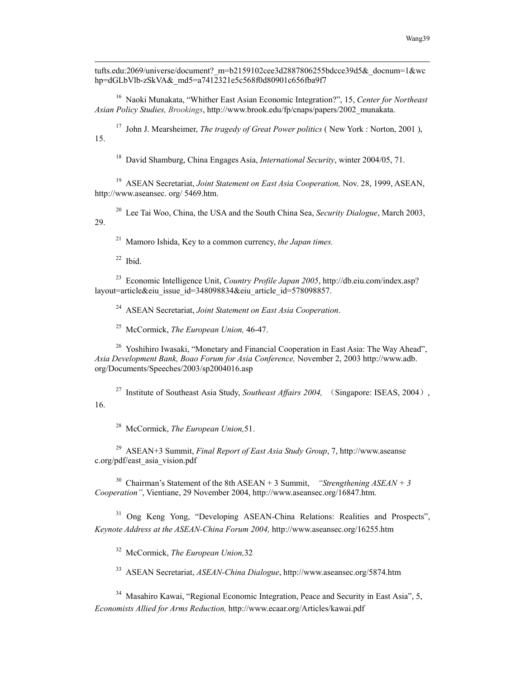tufts.edu:2069/universe/document?\_m=b2159102cee3d2887806255bdcce39d5&\_docnum=1&wc hp=dGLbVlb-zSkVA& md5=a7412321e5c568f0d80901c656fba9f7

16 Naoki Munakata, "Whither East Asian Economic Integration?", 15, *Center for Northeast Asian Policy Studies, Brookings*, http://www.brook.edu/fp/cnaps/papers/2002\_munakata.

17 John J. Mearsheimer, *The tragedy of Great Power politics* ( New York : Norton, 2001 ), 15.

18 David Shamburg, China Engages Asia, *International Security*, winter 2004/05, 71.

19 ASEAN Secretariat, *Joint Statement on East Asia Cooperation,* Nov. 28, 1999, ASEAN, http://www.aseansec. org/ 5469.htm.

20 Lee Tai Woo, China, the USA and the South China Sea, *Security Dialogue*, March 2003, 29.

21 Mamoro Ishida, Key to a common currency, *the Japan times.*

 $22$  Ibid.

1

23 Economic Intelligence Unit, *Country Profile Japan 2005*, http://db.eiu.com/index.asp? layout=article&eiu\_issue\_id=348098834&eiu\_article\_id=578098857.

24 ASEAN Secretariat, *Joint Statement on East Asia Cooperation*.

25 McCormick, *The European Union,* 46-47.

<sup>26</sup> Yoshihiro Iwasaki, "Monetary and Financial Cooperation in East Asia: The Way Ahead", *Asia Development Bank, Boao Forum for Asia Conference,* November 2, 2003 http://www.adb. org/Documents/Speeches/2003/sp2004016.asp

<sup>27</sup> Institute of Southeast Asia Study, *Southeast Affairs 2004*, (Singapore: ISEAS, 2004), 16.

28 McCormick, *The European Union,*51.

29 ASEAN+3 Summit, *Final Report of East Asia Study Group*, 7, http://www.aseanse c.org/pdf/east\_asia\_vision.pdf

<sup>30</sup> Chairman's Statement of the 8th ASEAN + 3 Summit, *"Strengthening ASEAN* + 3 *Cooperation"*, Vientiane, 29 November 2004, http://www.aseansec.org/16847.htm.

<sup>31</sup> Ong Keng Yong, "Developing ASEAN-China Relations: Realities and Prospects", *Keynote Address at the ASEAN-China Forum 2004,* http://www.aseansec.org/16255.htm

32 McCormick, *The European Union,*32

33 ASEAN Secretariat, *ASEAN-China Dialogue*, http://www.aseansec.org/5874.htm

<sup>34</sup> Masahiro Kawai, "Regional Economic Integration, Peace and Security in East Asia", 5, *Economists Allied for Arms Reduction,* http://www.ecaar.org/Articles/kawai.pdf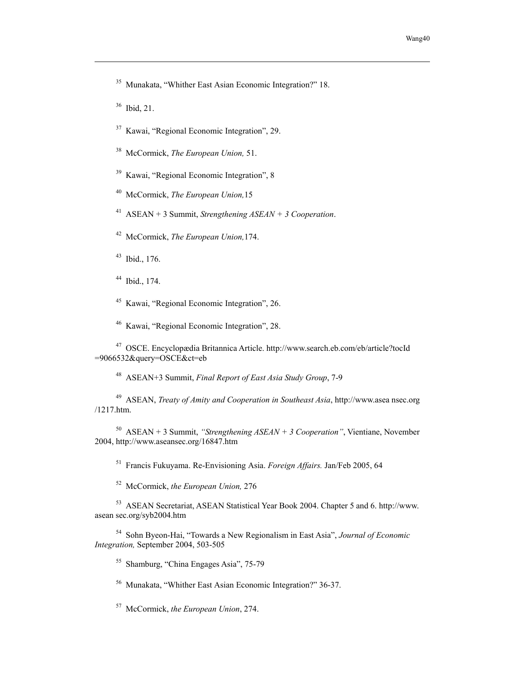35 Munakata, "Whither East Asian Economic Integration?" 18.

36 Ibid, 21.

1

37 Kawai, "Regional Economic Integration", 29.

38 McCormick, *The European Union,* 51.

39 Kawai, "Regional Economic Integration", 8

40 McCormick, *The European Union,*15

41 ASEAN + 3 Summit, *Strengthening ASEAN + 3 Cooperation*.

42 McCormick, *The European Union,*174.

43 Ibid., 176.

44 Ibid., 174.

45 Kawai, "Regional Economic Integration", 26.

46 Kawai, "Regional Economic Integration", 28.

47 OSCE. Encyclopædia Britannica Article. http://www.search.eb.com/eb/article?tocId =9066532&query=OSCE&ct=eb

48 ASEAN+3 Summit, *Final Report of East Asia Study Group*, 7-9

49 ASEAN, *Treaty of Amity and Cooperation in Southeast Asia*, http://www.asea nsec.org /1217.htm.

50 ASEAN + 3 Summit, *"Strengthening ASEAN + 3 Cooperation"*, Vientiane, November 2004, http://www.aseansec.org/16847.htm

51 Francis Fukuyama. Re-Envisioning Asia. *Foreign Affairs.* Jan/Feb 2005, 64

52 McCormick, *the European Union,* 276

53 ASEAN Secretariat, ASEAN Statistical Year Book 2004. Chapter 5 and 6. http://www. asean sec.org/syb2004.htm

54 Sohn Byeon-Hai, "Towards a New Regionalism in East Asia", *Journal of Economic Integration,* September 2004, 503-505

55 Shamburg, "China Engages Asia", 75-79

56 Munakata, "Whither East Asian Economic Integration?" 36-37.

57 McCormick, *the European Union*, 274.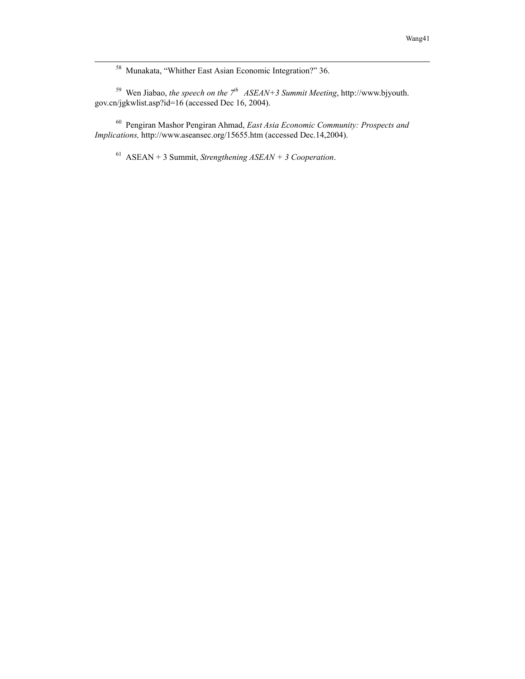58 Munakata, "Whither East Asian Economic Integration?" 36.

<sup>59</sup> Wen Jiabao, *the speech on the*  $7<sup>th</sup>$  *ASEAN+3 Summit Meeting*, http://www.bjyouth. gov.cn/jgkwlist.asp?id=16 (accessed Dec 16, 2004).

60 Pengiran Mashor Pengiran Ahmad, *East Asia Economic Community: Prospects and Implications,* http://www.aseansec.org/15655.htm (accessed Dec.14,2004).

61 ASEAN + 3 Summit, *Strengthening ASEAN + 3 Cooperation*.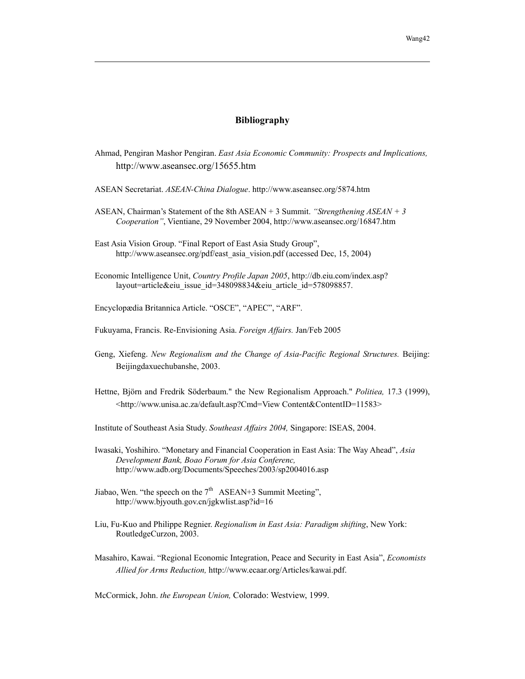#### **Bibliography**

- Ahmad, Pengiran Mashor Pengiran. *East Asia Economic Community: Prospects and Implications,* http://www.aseansec.org/15655.htm
- ASEAN Secretariat. *ASEAN-China Dialogue*. http://www.aseansec.org/5874.htm
- ASEAN, Chairman's Statement of the 8th ASEAN + 3 Summit. *"Strengthening ASEAN + 3 Cooperation"*, Vientiane, 29 November 2004, http://www.aseansec.org/16847.htm
- East Asia Vision Group. "Final Report of East Asia Study Group", http://www.aseansec.org/pdf/east\_asia\_vision.pdf (accessed Dec, 15, 2004)
- Economic Intelligence Unit, *Country Profile Japan 2005*, http://db.eiu.com/index.asp? layout=article&eiu\_issue\_id=348098834&eiu\_article\_id=578098857.
- Encyclopædia Britannica Article. "OSCE", "APEC", "ARF".

1

- Fukuyama, Francis. Re-Envisioning Asia. *Foreign Affairs.* Jan/Feb 2005
- Geng, Xiefeng. *New Regionalism and the Change of Asia-Pacific Regional Structures.* Beijing: Beijingdaxuechubanshe, 2003.
- Hettne, Björn and Fredrik Söderbaum." the New Regionalism Approach." *Politiea,* 17.3 (1999), <http://www.unisa.ac.za/default.asp?Cmd=View Content&ContentID=11583>
- Institute of Southeast Asia Study. *Southeast Affairs 2004,* Singapore: ISEAS, 2004.
- Iwasaki, Yoshihiro. "Monetary and Financial Cooperation in East Asia: The Way Ahead", *Asia Development Bank, Boao Forum for Asia Conferenc,*  http://www.adb.org/Documents/Speeches/2003/sp2004016.asp
- Jiabao, Wen. "the speech on the  $7<sup>th</sup>$  ASEAN+3 Summit Meeting", http://www.bjyouth.gov.cn/jgkwlist.asp?id=16
- Liu, Fu-Kuo and Philippe Regnier. *Regionalism in East Asia: Paradigm shifting*, New York: RoutledgeCurzon, 2003.
- Masahiro, Kawai. "Regional Economic Integration, Peace and Security in East Asia", *Economists Allied for Arms Reduction,* http://www.ecaar.org/Articles/kawai.pdf.

McCormick, John. *the European Union,* Colorado: Westview, 1999.